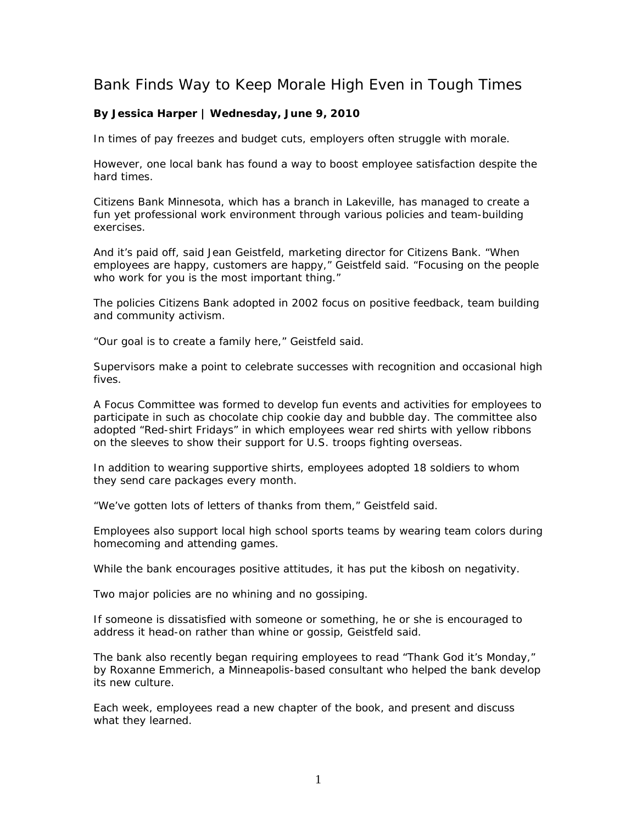## Bank Finds Way to Keep Morale High Even in Tough Times

## **By Jessica Harper | Wednesday, June 9, 2010**

In times of pay freezes and budget cuts, employers often struggle with morale.

However, one local bank has found a way to boost employee satisfaction despite the hard times.

Citizens Bank Minnesota, which has a branch in Lakeville, has managed to create a fun yet professional work environment through various policies and team-building exercises.

And it's paid off, said Jean Geistfeld, marketing director for Citizens Bank. "When employees are happy, customers are happy," Geistfeld said. "Focusing on the people who work for you is the most important thing."

The policies Citizens Bank adopted in 2002 focus on positive feedback, team building and community activism.

"Our goal is to create a family here," Geistfeld said.

Supervisors make a point to celebrate successes with recognition and occasional high fives.

A Focus Committee was formed to develop fun events and activities for employees to participate in such as chocolate chip cookie day and bubble day. The committee also adopted "Red-shirt Fridays" in which employees wear red shirts with yellow ribbons on the sleeves to show their support for U.S. troops fighting overseas.

In addition to wearing supportive shirts, employees adopted 18 soldiers to whom they send care packages every month.

"We've gotten lots of letters of thanks from them," Geistfeld said.

Employees also support local high school sports teams by wearing team colors during homecoming and attending games.

While the bank encourages positive attitudes, it has put the kibosh on negativity.

Two major policies are no whining and no gossiping.

If someone is dissatisfied with someone or something, he or she is encouraged to address it head-on rather than whine or gossip, Geistfeld said.

The bank also recently began requiring employees to read "Thank God it's Monday," by Roxanne Emmerich, a Minneapolis-based consultant who helped the bank develop its new culture.

Each week, employees read a new chapter of the book, and present and discuss what they learned.